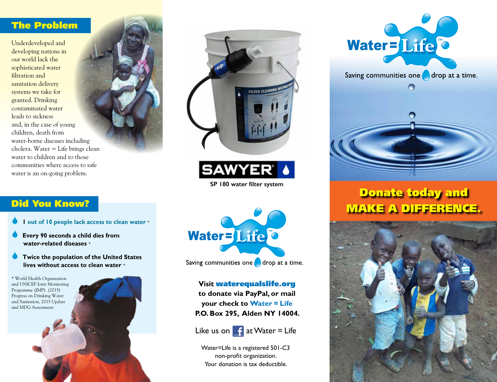### The Problem

Underdeveloped and developing nations in our world lack the sophisticated water filtration and sanitation delivery systems we take for granted. Drinking contaminated water leads to sickness and, in the case of young children, death from water-borne diseases including cholera. Water = Life brings clean water to children and to those communities where access to safe water is an on-going problem.





**SAWYER®** 

**SP 180 water filter system**



- **1 out of 10 people lack access to clean water** \*
- Every 90 seconds a child dies from  **water-related diseases** \*
- **Twice the population of the United States lives without access to clean water** \*

\* World Health Organization and UNICEF Joint Monitoring Programme (JMP). (2015) Progress on Drinking Water and Sanitation, 2015 Update and MDG Assessment.





Saving communities one  $\bigcap$  drop at a time.

**Visit** waterequalslife.org **to donate via PayPal, or mail your check to Water = Life P.O. Box 295, Alden NY 14004.**



Water=Life is a registered 501-C3 non-profit organization. Your donation is tax deductible.





# Donate today and MAKE A DIFFERENCE.